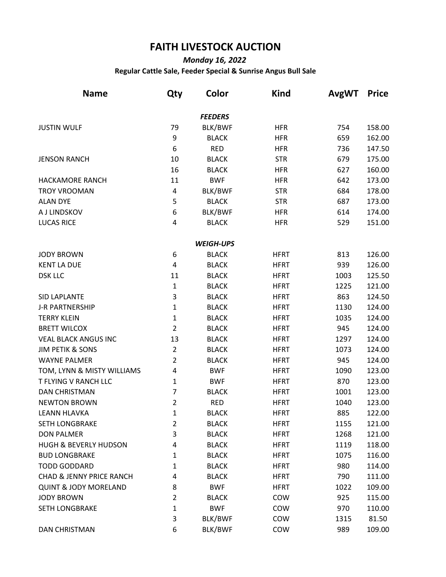## **FAITH LIVESTOCK AUCTION**

## *Monday 16, 2022*

## **Regular Cattle Sale, Feeder Special & Sunrise Angus Bull Sale**

| <b>Name</b>                         | Qty            | Color            | <b>Kind</b> | <b>AvgWT</b> | <b>Price</b> |
|-------------------------------------|----------------|------------------|-------------|--------------|--------------|
|                                     |                | <b>FEEDERS</b>   |             |              |              |
| <b>JUSTIN WULF</b>                  | 79             | BLK/BWF          | <b>HFR</b>  | 754          | 158.00       |
|                                     | 9              | <b>BLACK</b>     | <b>HFR</b>  | 659          | 162.00       |
|                                     | 6              | <b>RED</b>       | <b>HFR</b>  | 736          | 147.50       |
| <b>JENSON RANCH</b>                 | 10             | <b>BLACK</b>     | <b>STR</b>  | 679          | 175.00       |
|                                     | 16             | <b>BLACK</b>     | <b>HFR</b>  | 627          | 160.00       |
| <b>HACKAMORE RANCH</b>              | 11             | <b>BWF</b>       | <b>HFR</b>  | 642          | 173.00       |
| <b>TROY VROOMAN</b>                 | 4              | BLK/BWF          | <b>STR</b>  | 684          | 178.00       |
| <b>ALAN DYE</b>                     | 5              | <b>BLACK</b>     | <b>STR</b>  | 687          | 173.00       |
| A J LINDSKOV                        | 6              | BLK/BWF          | <b>HFR</b>  | 614          | 174.00       |
| <b>LUCAS RICE</b>                   | 4              | <b>BLACK</b>     | <b>HFR</b>  | 529          | 151.00       |
|                                     |                | <b>WEIGH-UPS</b> |             |              |              |
| <b>JODY BROWN</b>                   | 6              | <b>BLACK</b>     | <b>HFRT</b> | 813          | 126.00       |
| <b>KENT LA DUE</b>                  | 4              | <b>BLACK</b>     | <b>HFRT</b> | 939          | 126.00       |
| <b>DSK LLC</b>                      | 11             | <b>BLACK</b>     | <b>HFRT</b> | 1003         | 125.50       |
|                                     | $\mathbf{1}$   | <b>BLACK</b>     | <b>HFRT</b> | 1225         | 121.00       |
| <b>SID LAPLANTE</b>                 | 3              | <b>BLACK</b>     | <b>HFRT</b> | 863          | 124.50       |
| <b>J-R PARTNERSHIP</b>              | 1              | <b>BLACK</b>     | <b>HFRT</b> | 1130         | 124.00       |
| <b>TERRY KLEIN</b>                  | 1              | <b>BLACK</b>     | <b>HFRT</b> | 1035         | 124.00       |
| <b>BRETT WILCOX</b>                 | $\overline{2}$ | <b>BLACK</b>     | <b>HFRT</b> | 945          | 124.00       |
| <b>VEAL BLACK ANGUS INC</b>         | 13             | <b>BLACK</b>     | <b>HFRT</b> | 1297         | 124.00       |
| <b>JIM PETIK &amp; SONS</b>         | $\overline{2}$ | <b>BLACK</b>     | <b>HFRT</b> | 1073         | 124.00       |
| <b>WAYNE PALMER</b>                 | 2              | <b>BLACK</b>     | <b>HFRT</b> | 945          | 124.00       |
| TOM, LYNN & MISTY WILLIAMS          | 4              | <b>BWF</b>       | <b>HFRT</b> | 1090         | 123.00       |
| T FLYING V RANCH LLC                | 1              | <b>BWF</b>       | <b>HFRT</b> | 870          | 123.00       |
| <b>DAN CHRISTMAN</b>                | 7              | <b>BLACK</b>     | <b>HFRT</b> | 1001         | 123.00       |
| <b>NEWTON BROWN</b>                 | $\overline{2}$ | <b>RED</b>       | <b>HFRT</b> | 1040         | 123.00       |
| LEANN HLAVKA                        | 1              | <b>BLACK</b>     | <b>HFRT</b> | 885          | 122.00       |
| <b>SETH LONGBRAKE</b>               | 2              | <b>BLACK</b>     | <b>HFRT</b> | 1155         | 121.00       |
| <b>DON PALMER</b>                   | 3              | <b>BLACK</b>     | <b>HFRT</b> | 1268         | 121.00       |
| <b>HUGH &amp; BEVERLY HUDSON</b>    | 4              | <b>BLACK</b>     | <b>HFRT</b> | 1119         | 118.00       |
| <b>BUD LONGBRAKE</b>                | 1              | <b>BLACK</b>     | <b>HFRT</b> | 1075         | 116.00       |
| <b>TODD GODDARD</b>                 | 1              | <b>BLACK</b>     | <b>HFRT</b> | 980          | 114.00       |
| <b>CHAD &amp; JENNY PRICE RANCH</b> | 4              | <b>BLACK</b>     | <b>HFRT</b> | 790          | 111.00       |
| <b>QUINT &amp; JODY MORELAND</b>    | 8              | <b>BWF</b>       | <b>HFRT</b> | 1022         | 109.00       |
| <b>JODY BROWN</b>                   | 2              | <b>BLACK</b>     | COW         | 925          | 115.00       |
| <b>SETH LONGBRAKE</b>               | 1              | <b>BWF</b>       | COW         | 970          | 110.00       |
|                                     | 3              | BLK/BWF          | COW         | 1315         | 81.50        |
| <b>DAN CHRISTMAN</b>                | 6              | BLK/BWF          | COW         | 989          | 109.00       |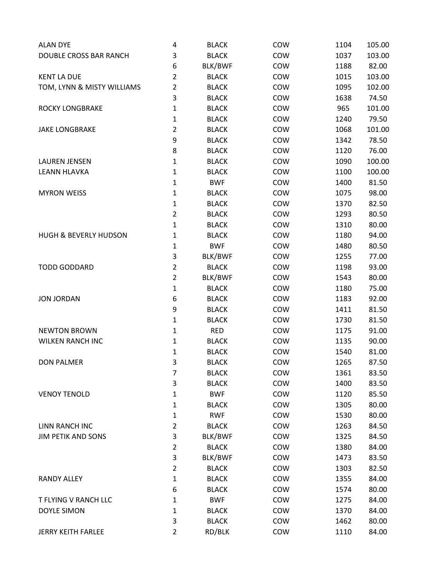| <b>ALAN DYE</b>                  | 4              | <b>BLACK</b> | COW | 1104 | 105.00 |
|----------------------------------|----------------|--------------|-----|------|--------|
| DOUBLE CROSS BAR RANCH           | 3              | <b>BLACK</b> | COW | 1037 | 103.00 |
|                                  | 6              | BLK/BWF      | COW | 1188 | 82.00  |
| <b>KENT LA DUE</b>               | $\overline{2}$ | <b>BLACK</b> | COW | 1015 | 103.00 |
| TOM, LYNN & MISTY WILLIAMS       | $\overline{2}$ | <b>BLACK</b> | COW | 1095 | 102.00 |
|                                  | 3              | <b>BLACK</b> | COW | 1638 | 74.50  |
| ROCKY LONGBRAKE                  | $\mathbf{1}$   | <b>BLACK</b> | COW | 965  | 101.00 |
|                                  | $\mathbf{1}$   | <b>BLACK</b> | COW | 1240 | 79.50  |
| <b>JAKE LONGBRAKE</b>            | $\overline{2}$ | <b>BLACK</b> | COW | 1068 | 101.00 |
|                                  | 9              | <b>BLACK</b> | COW | 1342 | 78.50  |
|                                  | 8              | <b>BLACK</b> | COW | 1120 | 76.00  |
| <b>LAUREN JENSEN</b>             | $\mathbf{1}$   | <b>BLACK</b> | COW | 1090 | 100.00 |
| <b>LEANN HLAVKA</b>              | $\mathbf{1}$   | <b>BLACK</b> | COW | 1100 | 100.00 |
|                                  | $\mathbf{1}$   | <b>BWF</b>   | COW | 1400 | 81.50  |
| <b>MYRON WEISS</b>               | 1              | <b>BLACK</b> | COW | 1075 | 98.00  |
|                                  | 1              | <b>BLACK</b> | COW | 1370 | 82.50  |
|                                  | $\overline{2}$ | <b>BLACK</b> | COW | 1293 | 80.50  |
|                                  | $\mathbf{1}$   | <b>BLACK</b> | COW | 1310 | 80.00  |
| <b>HUGH &amp; BEVERLY HUDSON</b> | $\mathbf{1}$   | <b>BLACK</b> | COW | 1180 | 94.00  |
|                                  | $\mathbf{1}$   | <b>BWF</b>   | COW | 1480 | 80.50  |
|                                  | 3              | BLK/BWF      | COW | 1255 | 77.00  |
| <b>TODD GODDARD</b>              | $\overline{2}$ | <b>BLACK</b> | COW | 1198 | 93.00  |
|                                  | $\overline{2}$ | BLK/BWF      | COW | 1543 | 80.00  |
|                                  | $\mathbf 1$    | <b>BLACK</b> | COW | 1180 | 75.00  |
| <b>JON JORDAN</b>                | 6              | <b>BLACK</b> | COW | 1183 | 92.00  |
|                                  | 9              | <b>BLACK</b> | COW | 1411 | 81.50  |
|                                  | $\mathbf{1}$   | <b>BLACK</b> | COW | 1730 | 81.50  |
| <b>NEWTON BROWN</b>              | 1              | <b>RED</b>   | COW | 1175 | 91.00  |
| <b>WILKEN RANCH INC</b>          | $\mathbf{1}$   | <b>BLACK</b> | COW | 1135 | 90.00  |
|                                  | 1              | <b>BLACK</b> | COW | 1540 | 81.00  |
| <b>DON PALMER</b>                | 3              | <b>BLACK</b> | COW | 1265 | 87.50  |
|                                  | 7              | <b>BLACK</b> | COW | 1361 | 83.50  |
|                                  | 3              | <b>BLACK</b> | COW | 1400 | 83.50  |
| <b>VENOY TENOLD</b>              | $\mathbf{1}$   | <b>BWF</b>   | COW | 1120 | 85.50  |
|                                  | 1              | <b>BLACK</b> | COW | 1305 | 80.00  |
|                                  | 1              | <b>RWF</b>   | COW | 1530 | 80.00  |
| <b>LINN RANCH INC</b>            | $\overline{2}$ | <b>BLACK</b> | COW | 1263 | 84.50  |
| <b>JIM PETIK AND SONS</b>        | 3              | BLK/BWF      | COW | 1325 | 84.50  |
|                                  | $\overline{2}$ | <b>BLACK</b> | COW | 1380 | 84.00  |
|                                  | 3              | BLK/BWF      | COW | 1473 | 83.50  |
|                                  | $\overline{2}$ | <b>BLACK</b> | COW | 1303 | 82.50  |
| <b>RANDY ALLEY</b>               | 1              | <b>BLACK</b> | COW | 1355 | 84.00  |
|                                  | 6              | <b>BLACK</b> | COW | 1574 | 80.00  |
| T FLYING V RANCH LLC             | 1              | <b>BWF</b>   | COW | 1275 | 84.00  |
| <b>DOYLE SIMON</b>               | 1              | <b>BLACK</b> | COW | 1370 | 84.00  |
|                                  | 3              | <b>BLACK</b> | COW | 1462 | 80.00  |
| <b>JERRY KEITH FARLEE</b>        | $\overline{2}$ | RD/BLK       | COW | 1110 | 84.00  |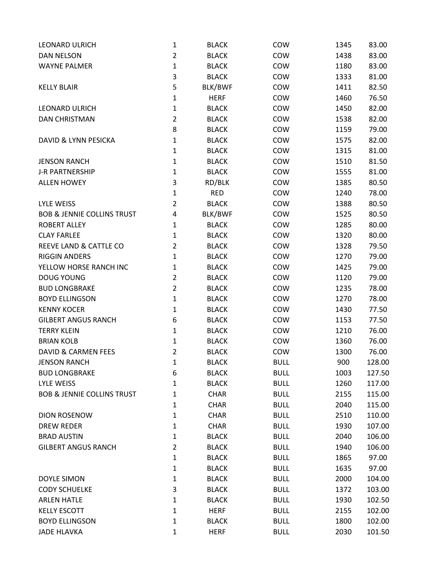| <b>LEONARD ULRICH</b>                 | $\mathbf{1}$   | <b>BLACK</b> | COW         | 1345 | 83.00  |
|---------------------------------------|----------------|--------------|-------------|------|--------|
| <b>DAN NELSON</b>                     | $\overline{2}$ | <b>BLACK</b> | COW         | 1438 | 83.00  |
| <b>WAYNE PALMER</b>                   | $\mathbf 1$    | <b>BLACK</b> | COW         | 1180 | 83.00  |
|                                       | 3              | <b>BLACK</b> | COW         | 1333 | 81.00  |
| <b>KELLY BLAIR</b>                    | 5              | BLK/BWF      | COW         | 1411 | 82.50  |
|                                       | $\mathbf{1}$   | <b>HERF</b>  | COW         | 1460 | 76.50  |
| <b>LEONARD ULRICH</b>                 | $\mathbf{1}$   | <b>BLACK</b> | COW         | 1450 | 82.00  |
| <b>DAN CHRISTMAN</b>                  | $\overline{2}$ | <b>BLACK</b> | COW         | 1538 | 82.00  |
|                                       | 8              | <b>BLACK</b> | COW         | 1159 | 79.00  |
| <b>DAVID &amp; LYNN PESICKA</b>       | $\mathbf 1$    | <b>BLACK</b> | COW         | 1575 | 82.00  |
|                                       | $\mathbf{1}$   | <b>BLACK</b> | COW         | 1315 | 81.00  |
| <b>JENSON RANCH</b>                   | $\mathbf 1$    | <b>BLACK</b> | COW         | 1510 | 81.50  |
| <b>J-R PARTNERSHIP</b>                | $\mathbf{1}$   | <b>BLACK</b> | COW         | 1555 | 81.00  |
| <b>ALLEN HOWEY</b>                    | 3              | RD/BLK       | COW         | 1385 | 80.50  |
|                                       | 1              | <b>RED</b>   | COW         | 1240 | 78.00  |
| <b>LYLE WEISS</b>                     | $\overline{2}$ | <b>BLACK</b> | COW         | 1388 | 80.50  |
| <b>BOB &amp; JENNIE COLLINS TRUST</b> | 4              | BLK/BWF      | COW         | 1525 | 80.50  |
| <b>ROBERT ALLEY</b>                   | 1              | <b>BLACK</b> | COW         | 1285 | 80.00  |
| <b>CLAY FARLEE</b>                    | 1              | <b>BLACK</b> | COW         | 1320 | 80.00  |
| REEVE LAND & CATTLE CO                | $\overline{2}$ | <b>BLACK</b> | COW         | 1328 | 79.50  |
| <b>RIGGIN ANDERS</b>                  | 1              | <b>BLACK</b> | COW         | 1270 | 79.00  |
| YELLOW HORSE RANCH INC                | $\mathbf 1$    | <b>BLACK</b> | COW         | 1425 | 79.00  |
| <b>DOUG YOUNG</b>                     | $\overline{2}$ | <b>BLACK</b> | COW         | 1120 | 79.00  |
| <b>BUD LONGBRAKE</b>                  | $\overline{2}$ | <b>BLACK</b> | COW         | 1235 | 78.00  |
| <b>BOYD ELLINGSON</b>                 | $\mathbf{1}$   | <b>BLACK</b> | COW         | 1270 | 78.00  |
| <b>KENNY KOCER</b>                    | $\mathbf{1}$   | <b>BLACK</b> | COW         | 1430 | 77.50  |
| <b>GILBERT ANGUS RANCH</b>            | 6              | <b>BLACK</b> | COW         | 1153 | 77.50  |
| <b>TERRY KLEIN</b>                    | $\mathbf{1}$   | <b>BLACK</b> | COW         | 1210 | 76.00  |
| <b>BRIAN KOLB</b>                     | $\mathbf 1$    | <b>BLACK</b> | COW         | 1360 | 76.00  |
| DAVID & CARMEN FEES                   | $\overline{2}$ | <b>BLACK</b> | COW         | 1300 | 76.00  |
| <b>JENSON RANCH</b>                   | 1              | <b>BLACK</b> | <b>BULL</b> | 900  | 128.00 |
| <b>BUD LONGBRAKE</b>                  | 6              | <b>BLACK</b> | <b>BULL</b> | 1003 | 127.50 |
| LYLE WEISS                            | 1              | <b>BLACK</b> | <b>BULL</b> | 1260 | 117.00 |
| <b>BOB &amp; JENNIE COLLINS TRUST</b> | 1              | <b>CHAR</b>  | <b>BULL</b> | 2155 | 115.00 |
|                                       | 1              | <b>CHAR</b>  | <b>BULL</b> | 2040 | 115.00 |
| <b>DION ROSENOW</b>                   | 1              | <b>CHAR</b>  | <b>BULL</b> | 2510 | 110.00 |
| <b>DREW REDER</b>                     | 1              | <b>CHAR</b>  | <b>BULL</b> | 1930 | 107.00 |
| <b>BRAD AUSTIN</b>                    | $\mathbf{1}$   | <b>BLACK</b> | <b>BULL</b> | 2040 | 106.00 |
| <b>GILBERT ANGUS RANCH</b>            | $\overline{2}$ | <b>BLACK</b> | <b>BULL</b> | 1940 | 106.00 |
|                                       | 1              | <b>BLACK</b> | <b>BULL</b> | 1865 | 97.00  |
|                                       | 1              | <b>BLACK</b> | <b>BULL</b> | 1635 | 97.00  |
| <b>DOYLE SIMON</b>                    | 1              | <b>BLACK</b> | <b>BULL</b> | 2000 | 104.00 |
| <b>CODY SCHUELKE</b>                  | 3              | <b>BLACK</b> | <b>BULL</b> | 1372 | 103.00 |
| <b>ARLEN HATLE</b>                    | 1              | <b>BLACK</b> | <b>BULL</b> | 1930 | 102.50 |
| <b>KELLY ESCOTT</b>                   | 1              | <b>HERF</b>  | <b>BULL</b> | 2155 | 102.00 |
| <b>BOYD ELLINGSON</b>                 | 1              | <b>BLACK</b> | <b>BULL</b> | 1800 | 102.00 |
| <b>JADE HLAVKA</b>                    | $\mathbf{1}$   | <b>HERF</b>  | <b>BULL</b> | 2030 | 101.50 |